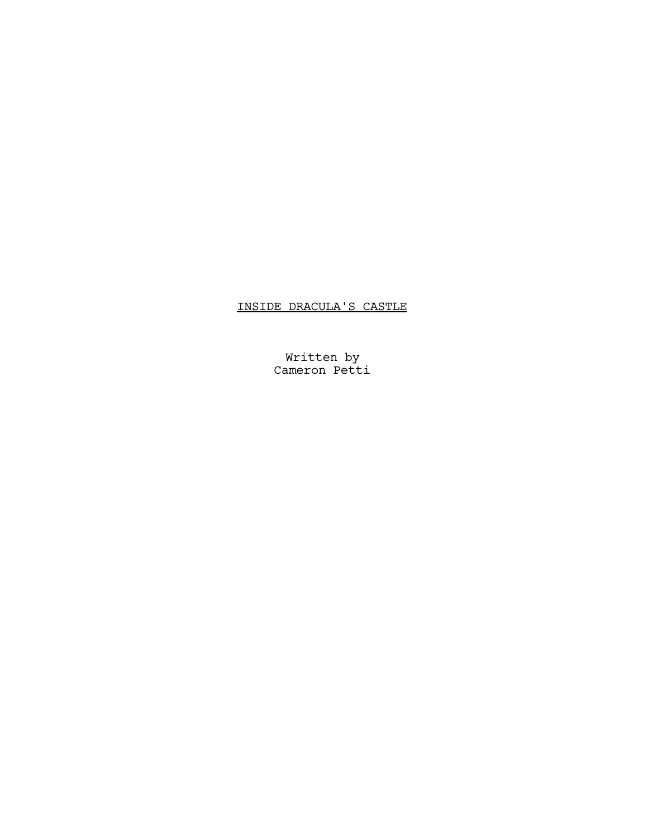# INSIDE DRACULA'S CASTLE

Written by Cameron Petti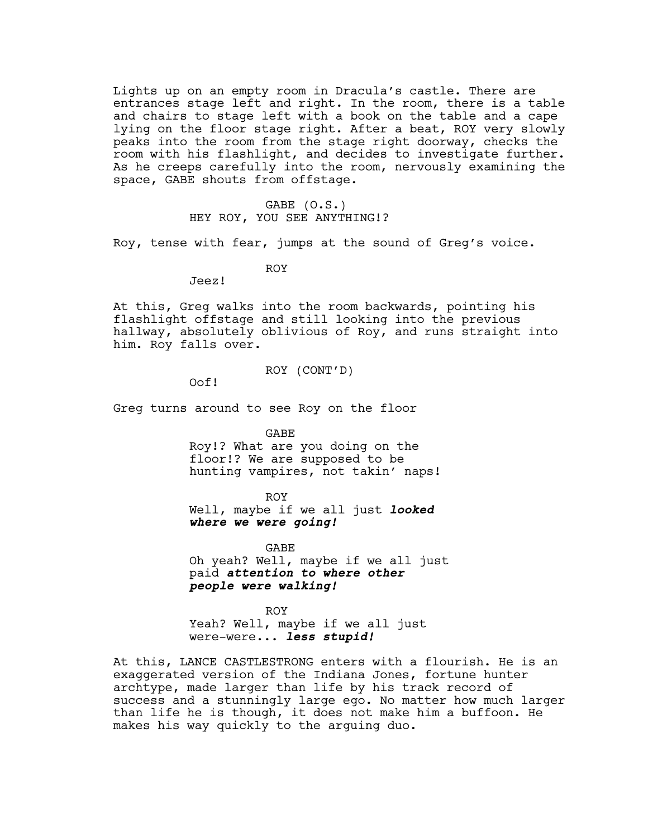Lights up on an empty room in Dracula's castle. There are entrances stage left and right. In the room, there is a table and chairs to stage left with a book on the table and a cape lying on the floor stage right. After a beat, ROY very slowly peaks into the room from the stage right doorway, checks the room with his flashlight, and decides to investigate further. As he creeps carefully into the room, nervously examining the space, GABE shouts from offstage.

# GABE (O.S.) HEY ROY, YOU SEE ANYTHING!?

Roy, tense with fear, jumps at the sound of Greg's voice.

ROY

Jeez!

At this, Greg walks into the room backwards, pointing his flashlight offstage and still looking into the previous hallway, absolutely oblivious of Roy, and runs straight into him. Roy falls over.

## ROY (CONT'D)

Oof!

Greg turns around to see Roy on the floor

GABE

Roy!? What are you doing on the floor!? We are supposed to be hunting vampires, not takin' naps!

ROY Well, maybe if we all just **looked where we were going!**

GABE Oh yeah? Well, maybe if we all just paid **attention to where other people were walking!**

ROY Yeah? Well, maybe if we all just were-were... **less stupid!**

At this, LANCE CASTLESTRONG enters with a flourish. He is an exaggerated version of the Indiana Jones, fortune hunter archtype, made larger than life by his track record of success and a stunningly large ego. No matter how much larger than life he is though, it does not make him a buffoon. He makes his way quickly to the arguing duo.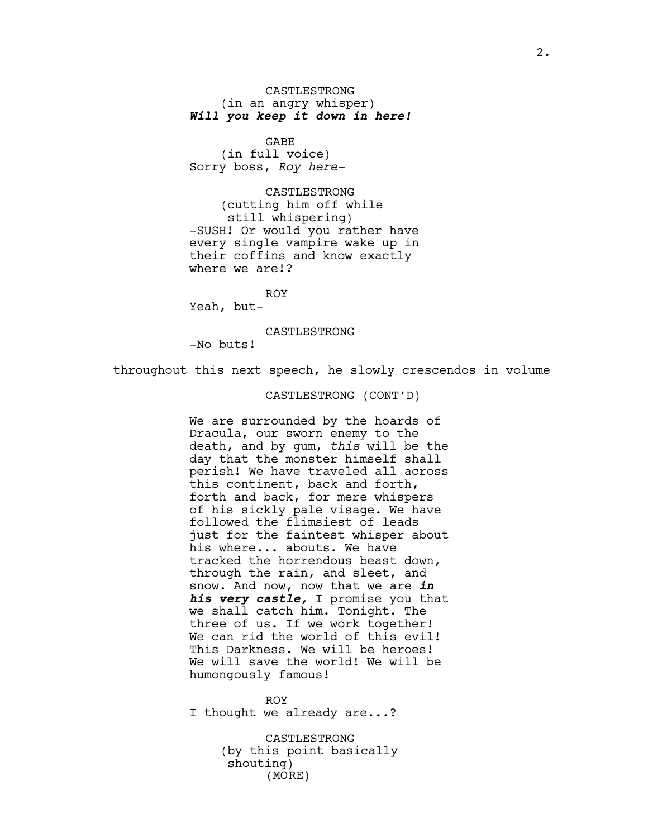CASTLESTRONG (in an angry whisper) **Will you keep it down in here!**

GABE (in full voice) Sorry boss, *Roy here-*

CASTLESTRONG (cutting him off while still whispering) -SUSH! Or would you rather have every single vampire wake up in their coffins and know exactly where we are!?

ROY

Yeah, but-

CASTLESTRONG

-No buts!

throughout this next speech, he slowly crescendos in volume

# CASTLESTRONG (CONT'D)

We are surrounded by the hoards of Dracula, our sworn enemy to the death, and by gum, *this* will be the day that the monster himself shall perish! We have traveled all across this continent, back and forth, forth and back, for mere whispers of his sickly pale visage. We have followed the flimsiest of leads just for the faintest whisper about his where... abouts. We have tracked the horrendous beast down, through the rain, and sleet, and snow. And now, now that we are **in his very castle,** I promise you that we shall catch him. Tonight. The three of us. If we work together! We can rid the world of this evil! This Darkness. We will be heroes! We will save the world! We will be humongously famous!

ROY I thought we already are...?

> CASTLESTRONG (by this point basically shouting) (MORE)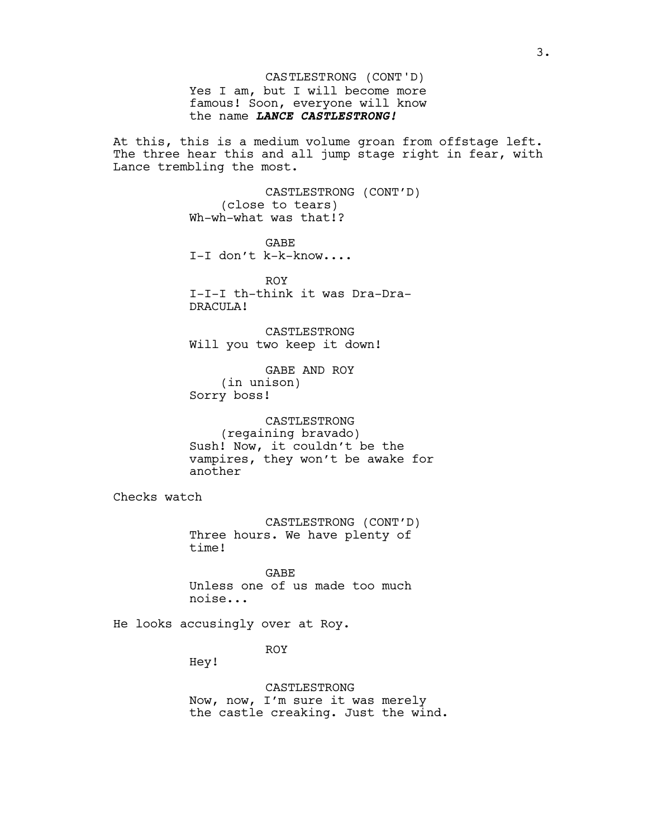Yes I am, but I will become more famous! Soon, everyone will know the name **LANCE CASTLESTRONG!** CASTLESTRONG (CONT'D)

At this, this is a medium volume groan from offstage left. The three hear this and all jump stage right in fear, with Lance trembling the most.

> CASTLESTRONG (CONT'D) (close to tears) Wh-wh-what was that!?

GABE I-I don't k-k-know....

ROY I-I-I th-think it was Dra-Dra-DRACULA!

CASTLESTRONG Will you two keep it down!

GABE AND ROY (in unison) Sorry boss!

CASTLESTRONG (regaining bravado) Sush! Now, it couldn't be the vampires, they won't be awake for another

Checks watch

CASTLESTRONG (CONT'D) Three hours. We have plenty of time!

GABE Unless one of us made too much noise...

He looks accusingly over at Roy.

ROY

Hey!

CASTLESTRONG Now, now, I'm sure it was merely the castle creaking. Just the wind.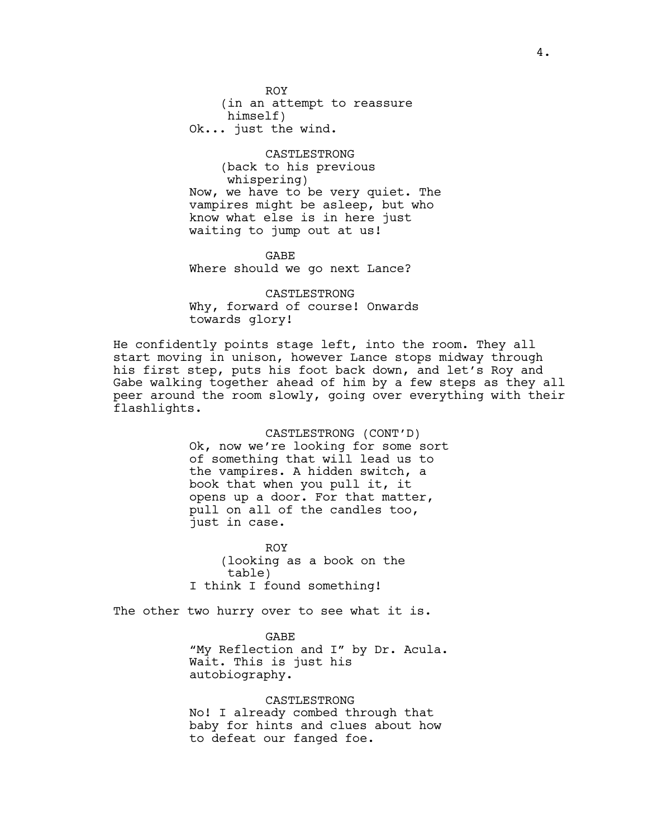ROY (in an attempt to reassure himself) Ok... just the wind.

CASTLESTRONG (back to his previous whispering) Now, we have to be very quiet. The vampires might be asleep, but who know what else is in here just waiting to jump out at us!

GABE Where should we go next Lance?

CASTLESTRONG Why, forward of course! Onwards towards glory!

He confidently points stage left, into the room. They all start moving in unison, however Lance stops midway through his first step, puts his foot back down, and let's Roy and Gabe walking together ahead of him by a few steps as they all peer around the room slowly, going over everything with their flashlights.

> CASTLESTRONG (CONT'D) Ok, now we're looking for some sort of something that will lead us to the vampires. A hidden switch, a book that when you pull it, it opens up a door. For that matter, pull on all of the candles too, just in case.

ROY (looking as a book on the table) I think I found something!

The other two hurry over to see what it is.

GABE "My Reflection and I" by Dr. Acula. Wait. This is just his autobiography.

CASTLESTRONG No! I already combed through that baby for hints and clues about how to defeat our fanged foe.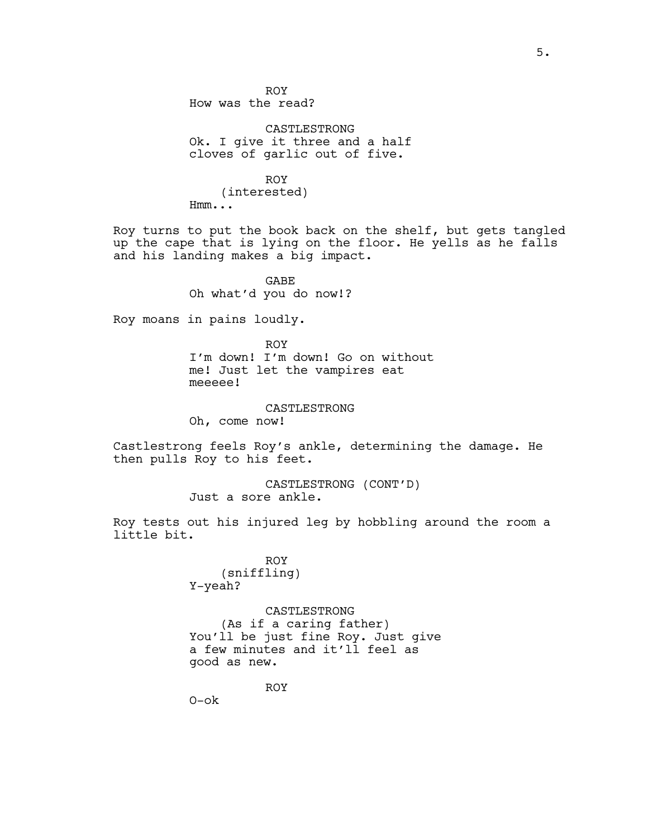ROY How was the read?

CASTLESTRONG Ok. I give it three and a half cloves of garlic out of five.

ROY (interested) Hmm...

Roy turns to put the book back on the shelf, but gets tangled up the cape that is lying on the floor. He yells as he falls and his landing makes a big impact.

> GABE Oh what'd you do now!?

Roy moans in pains loudly.

ROY I'm down! I'm down! Go on without me! Just let the vampires eat meeeee!

CASTLESTRONG

Oh, come now!

Castlestrong feels Roy's ankle, determining the damage. He then pulls Roy to his feet.

> CASTLESTRONG (CONT'D) Just a sore ankle.

Roy tests out his injured leg by hobbling around the room a little bit.

> ROY (sniffling) Y-yeah?

CASTLESTRONG (As if a caring father) You'll be just fine Roy. Just give a few minutes and it'll feel as good as new.

ROY

O-ok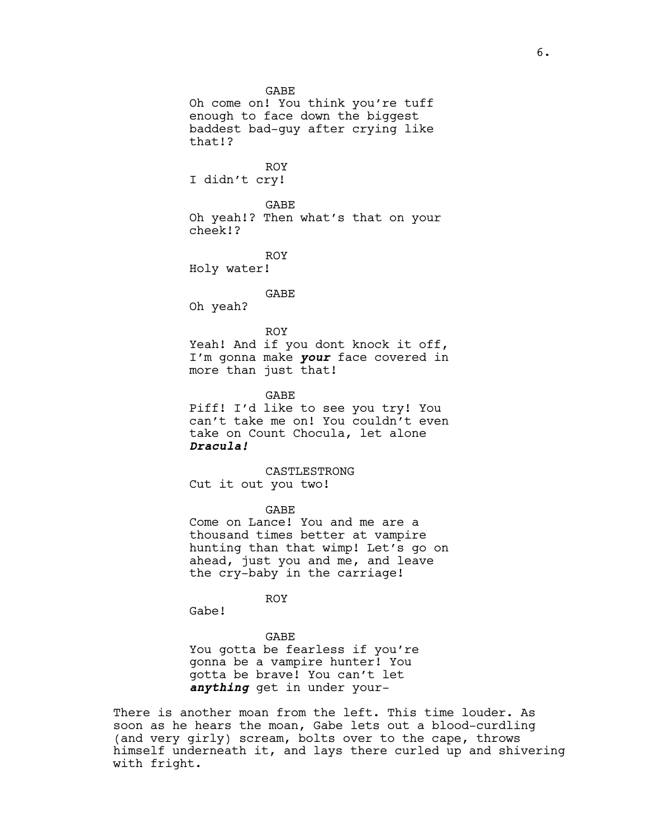GABE

Oh come on! You think you're tuff enough to face down the biggest baddest bad-guy after crying like that!?

ROY

I didn't cry!

GABE

Oh yeah!? Then what's that on your cheek!?

ROY

Holy water!

GABE

Oh yeah?

ROY

Yeah! And if you dont knock it off, I'm gonna make **your** face covered in more than just that!

GABE

Piff! I'd like to see you try! You can't take me on! You couldn't even take on Count Chocula, let alone **Dracula!**

CASTLESTRONG Cut it out you two!

GABE

Come on Lance! You and me are a thousand times better at vampire hunting than that wimp! Let's go on ahead, just you and me, and leave the cry-baby in the carriage!

ROY

Gabe!

#### GABE

You gotta be fearless if you're gonna be a vampire hunter! You gotta be brave! You can't let **anything** get in under your-

There is another moan from the left. This time louder. As soon as he hears the moan, Gabe lets out a blood-curdling (and very girly) scream, bolts over to the cape, throws himself underneath it, and lays there curled up and shivering with fright.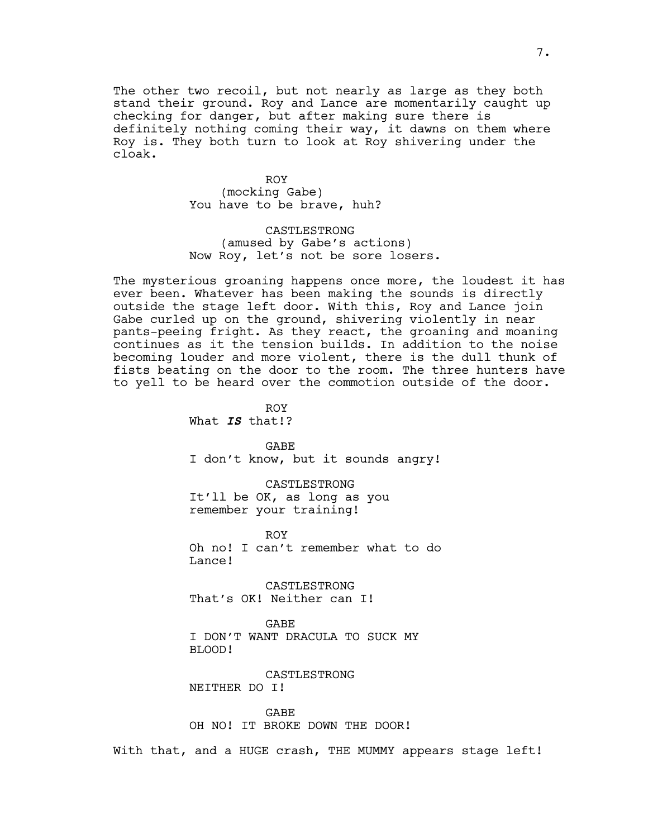The other two recoil, but not nearly as large as they both stand their ground. Roy and Lance are momentarily caught up checking for danger, but after making sure there is definitely nothing coming their way, it dawns on them where Roy is. They both turn to look at Roy shivering under the cloak.

> ROY (mocking Gabe) You have to be brave, huh?

CASTLESTRONG (amused by Gabe's actions) Now Roy, let's not be sore losers.

The mysterious groaning happens once more, the loudest it has ever been. Whatever has been making the sounds is directly outside the stage left door. With this, Roy and Lance join Gabe curled up on the ground, shivering violently in near pants-peeing fright. As they react, the groaning and moaning continues as it the tension builds. In addition to the noise becoming louder and more violent, there is the dull thunk of fists beating on the door to the room. The three hunters have to yell to be heard over the commotion outside of the door.

> ROY What **IS** that!?

GABE I don't know, but it sounds angry!

CASTLESTRONG It'll be OK, as long as you remember your training!

ROY Oh no! I can't remember what to do Lance!

CASTLESTRONG That's OK! Neither can I!

GABE

I DON'T WANT DRACULA TO SUCK MY BLOOD!

CASTLESTRONG NEITHER DO I!

GABE OH NO! IT BROKE DOWN THE DOOR!

With that, and a HUGE crash, THE MUMMY appears stage left!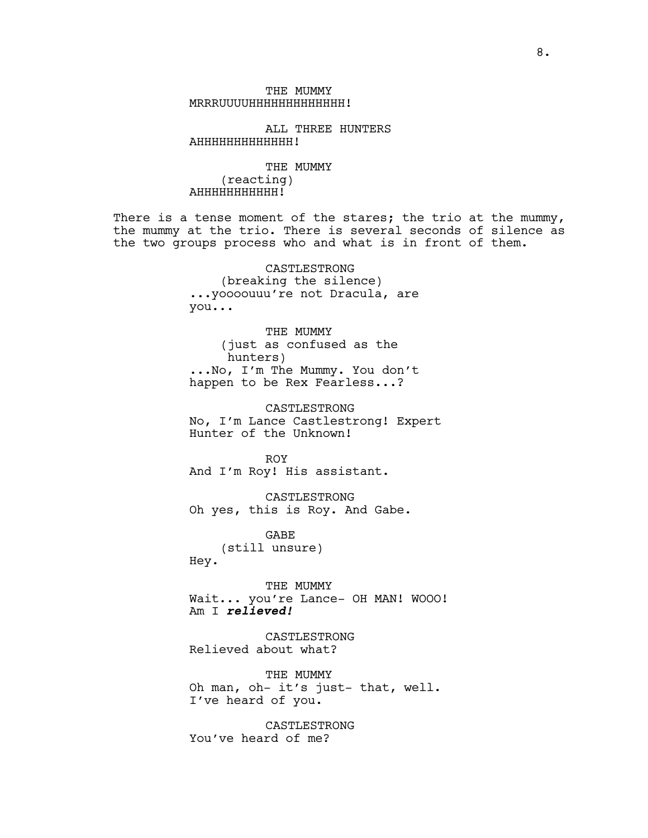THE MUMMY MRRRUUUUHHHHHHHHHHHHH!

ALL THREE HUNTERS AHHHHHHHHHHHHH!

THE MUMMY (reacting) AHHHHHHHHHHH!

There is a tense moment of the stares; the trio at the mummy, the mummy at the trio. There is several seconds of silence as the two groups process who and what is in front of them.

> CASTLESTRONG (breaking the silence) ...yoooouuu're not Dracula, are you...

> THE MUMMY (just as confused as the hunters) ...No, I'm The Mummy. You don't happen to be Rex Fearless...?

CASTLESTRONG No, I'm Lance Castlestrong! Expert Hunter of the Unknown!

ROY And I'm Roy! His assistant.

CASTLESTRONG Oh yes, this is Roy. And Gabe.

GABE (still unsure) Hey.

THE MUMMY Wait... you're Lance- OH MAN! WOOO! Am I **relieved!**

CASTLESTRONG Relieved about what?

THE MUMMY Oh man, oh- it's just- that, well. I've heard of you.

CASTLESTRONG You've heard of me?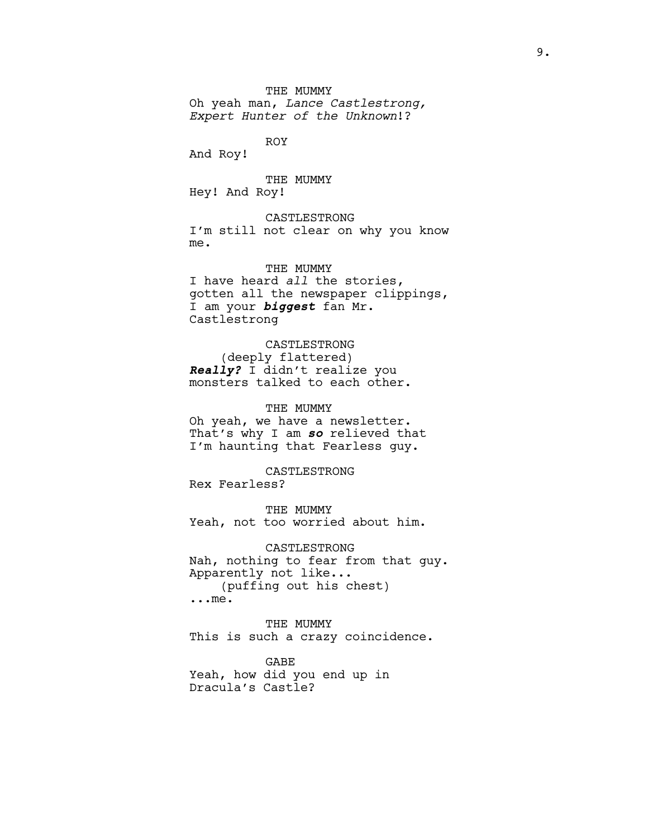## THE MUMMY

Oh yeah man, *Lance Castlestrong, Expert Hunter of the Unknown*!?

ROY

And Roy!

THE MUMMY Hey! And Roy!

CASTLESTRONG I'm still not clear on why you know me.

THE MUMMY I have heard *all* the stories, gotten all the newspaper clippings, I am your **biggest** fan Mr. Castlestrong

CASTLESTRONG (deeply flattered) **Really?** I didn't realize you monsters talked to each other.

THE MUMMY Oh yeah, we have a newsletter. That's why I am **so** relieved that I'm haunting that Fearless guy.

CASTLESTRONG Rex Fearless?

THE MUMMY Yeah, not too worried about him.

CASTLESTRONG Nah, nothing to fear from that guy. Apparently not like... (puffing out his chest) ...me.

THE MUMMY This is such a crazy coincidence.

GABE Yeah, how did you end up in Dracula's Castle?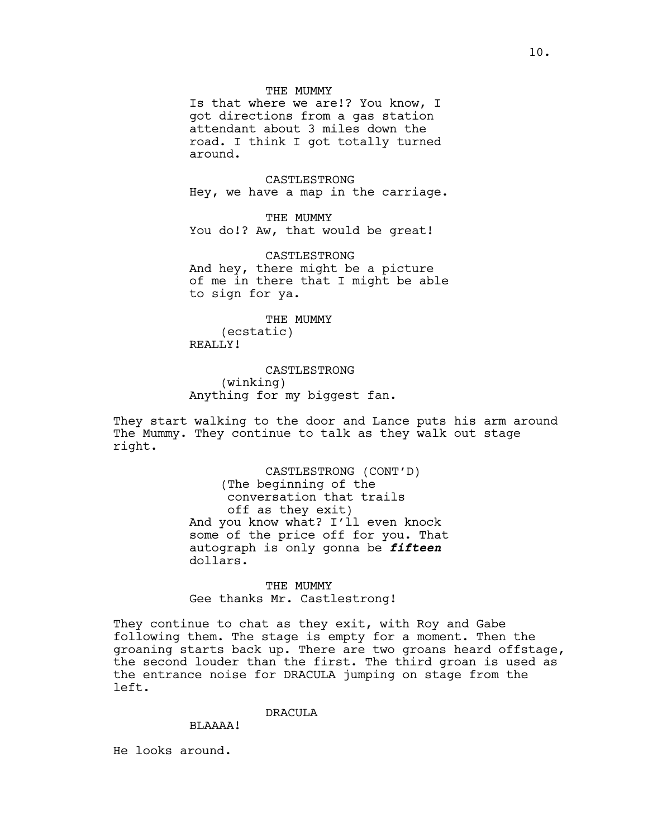# THE MUMMY

Is that where we are!? You know, I got directions from a gas station attendant about 3 miles down the road. I think I got totally turned around.

CASTLESTRONG Hey, we have a map in the carriage.

THE MUMMY You do!? Aw, that would be great!

CASTLESTRONG And hey, there might be a picture of me in there that I might be able to sign for ya.

THE MUMMY (ecstatic) REALLY!

**CASTLESTRONG** (winking) Anything for my biggest fan.

They start walking to the door and Lance puts his arm around The Mummy. They continue to talk as they walk out stage right.

> CASTLESTRONG (CONT'D) (The beginning of the conversation that trails off as they exit) And you know what? I'll even knock some of the price off for you. That autograph is only gonna be **fifteen** dollars.

THE MUMMY Gee thanks Mr. Castlestrong!

They continue to chat as they exit, with Roy and Gabe following them. The stage is empty for a moment. Then the groaning starts back up. There are two groans heard offstage, the second louder than the first. The third groan is used as the entrance noise for DRACULA jumping on stage from the left.

## DRACUL<sub>A</sub>

## BLAAAA!

He looks around.